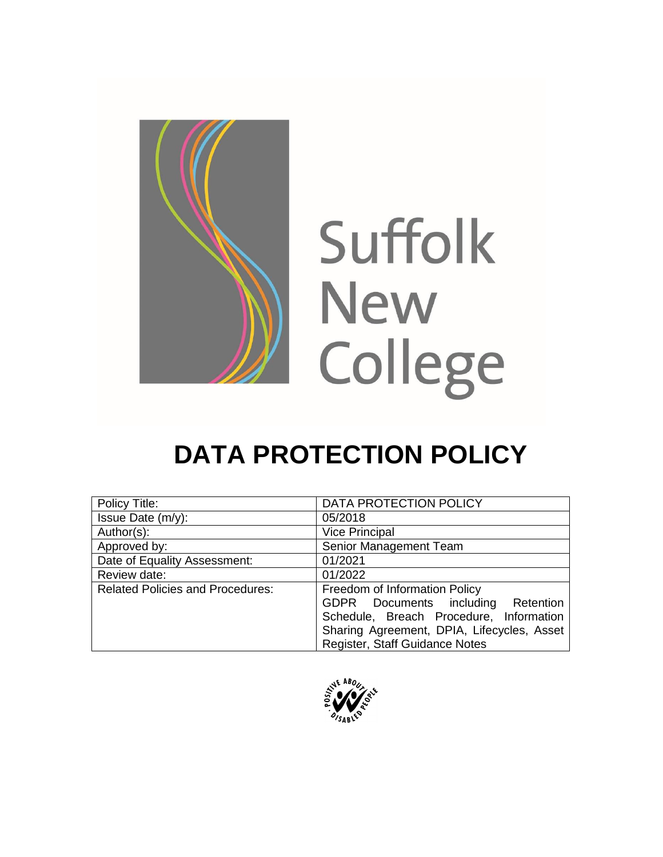

# **DATA PROTECTION POLICY**

| Policy Title:                           | DATA PROTECTION POLICY                     |
|-----------------------------------------|--------------------------------------------|
| Issue Date (m/y):                       | 05/2018                                    |
| Author(s):                              | <b>Vice Principal</b>                      |
| Approved by:                            | Senior Management Team                     |
| Date of Equality Assessment:            | 01/2021                                    |
| Review date:                            | 01/2022                                    |
| <b>Related Policies and Procedures:</b> | Freedom of Information Policy              |
|                                         | GDPR Documents including Retention         |
|                                         | Schedule, Breach Procedure, Information    |
|                                         | Sharing Agreement, DPIA, Lifecycles, Asset |
|                                         | Register, Staff Guidance Notes             |

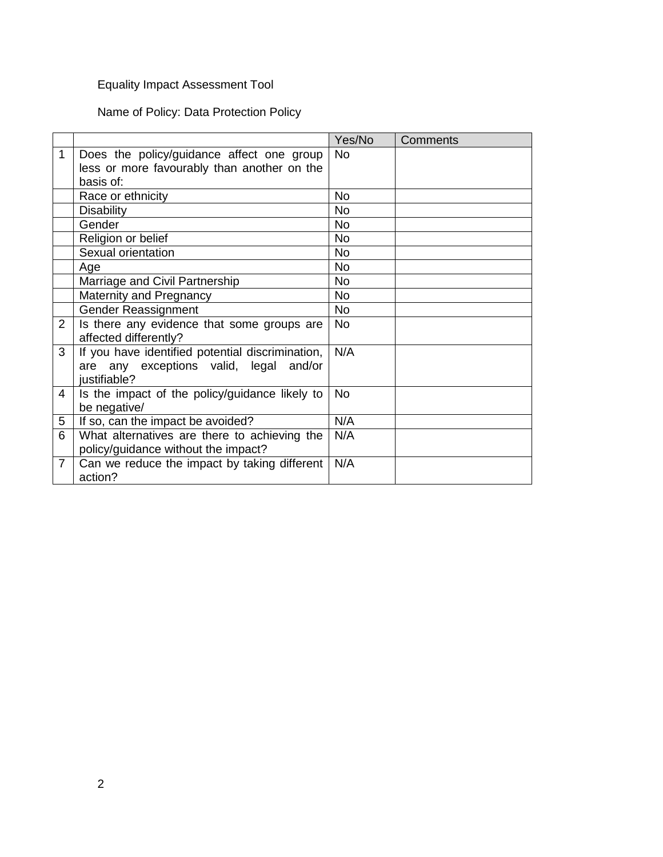## Equality Impact Assessment Tool

Name of Policy: Data Protection Policy

|                |                                                                                                            | Yes/No    | Comments |
|----------------|------------------------------------------------------------------------------------------------------------|-----------|----------|
| 1              | Does the policy/guidance affect one group                                                                  | <b>No</b> |          |
|                | less or more favourably than another on the                                                                |           |          |
|                | basis of:                                                                                                  |           |          |
|                | Race or ethnicity                                                                                          | <b>No</b> |          |
|                | <b>Disability</b>                                                                                          | No        |          |
|                | Gender                                                                                                     | <b>No</b> |          |
|                | Religion or belief                                                                                         | No        |          |
|                | Sexual orientation                                                                                         | <b>No</b> |          |
|                | Age                                                                                                        | <b>No</b> |          |
|                | Marriage and Civil Partnership                                                                             | <b>No</b> |          |
|                | Maternity and Pregnancy                                                                                    | <b>No</b> |          |
|                | <b>Gender Reassignment</b>                                                                                 | <b>No</b> |          |
| $\overline{2}$ | Is there any evidence that some groups are<br>affected differently?                                        | <b>No</b> |          |
| 3              | If you have identified potential discrimination,<br>are any exceptions valid, legal and/or<br>justifiable? | N/A       |          |
| 4              | Is the impact of the policy/guidance likely to<br>be negative/                                             | <b>No</b> |          |
| 5              | If so, can the impact be avoided?                                                                          | N/A       |          |
| 6              | What alternatives are there to achieving the<br>policy/guidance without the impact?                        | N/A       |          |
| $\overline{7}$ | Can we reduce the impact by taking different<br>action?                                                    | N/A       |          |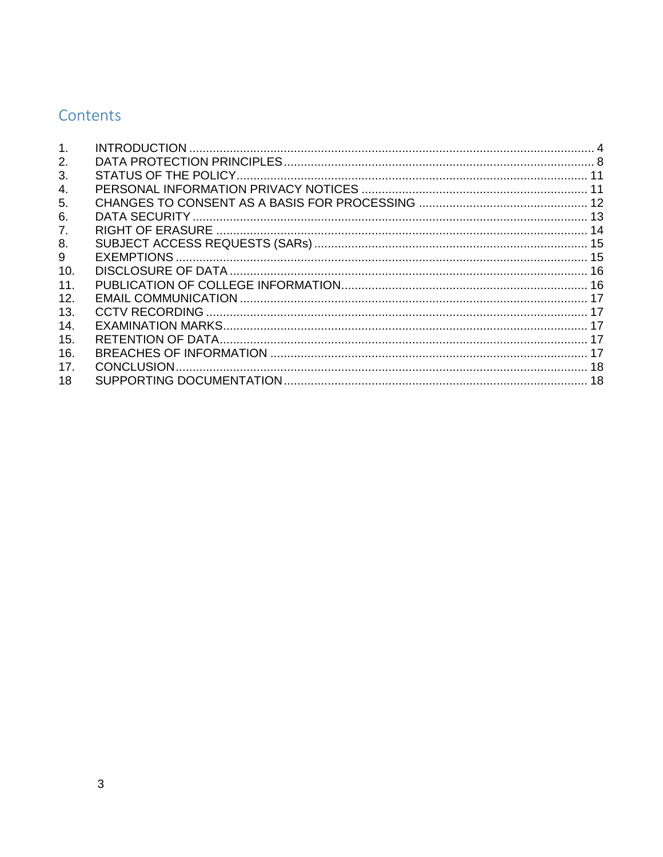# Contents

| 1 <sub>1</sub>  |  |
|-----------------|--|
| 2.              |  |
| 3.              |  |
| 4.              |  |
| 5.              |  |
| 6.              |  |
| 7.              |  |
| 8.              |  |
| 9               |  |
| 10.             |  |
| 11.             |  |
| 12.             |  |
| 13.             |  |
| 14.             |  |
| 15.             |  |
| 16.             |  |
| 17 <sub>1</sub> |  |
| 18              |  |
|                 |  |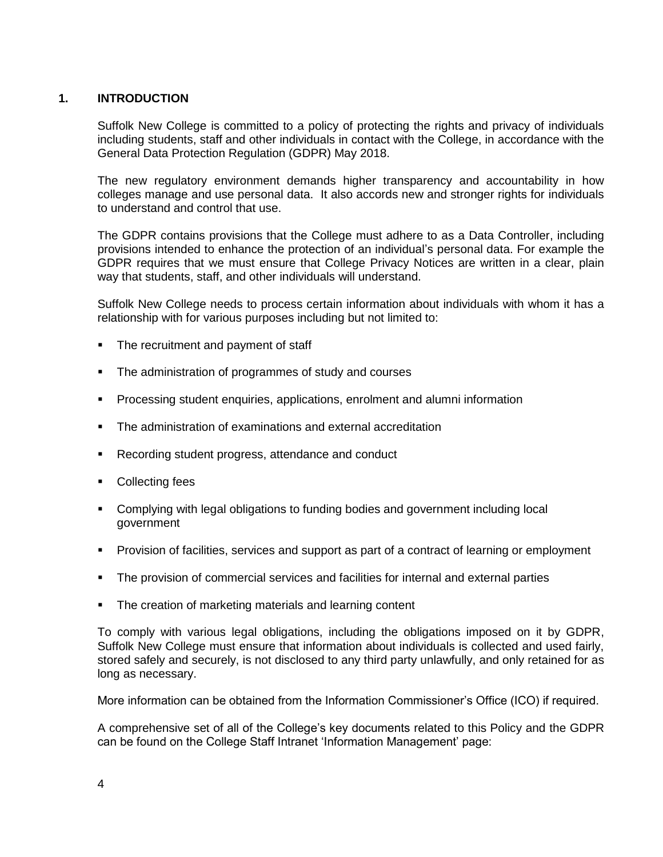#### <span id="page-3-0"></span>**1. INTRODUCTION**

Suffolk New College is committed to a policy of protecting the rights and privacy of individuals including students, staff and other individuals in contact with the College, in accordance with the General Data Protection Regulation (GDPR) May 2018.

The new regulatory environment demands higher transparency and accountability in how colleges manage and use personal data. It also accords new and stronger rights for individuals to understand and control that use.

The GDPR contains provisions that the College must adhere to as a Data Controller, including provisions intended to enhance the protection of an individual's personal data. For example the GDPR requires that we must ensure that College Privacy Notices are written in a clear, plain way that students, staff, and other individuals will understand.

Suffolk New College needs to process certain information about individuals with whom it has a relationship with for various purposes including but not limited to:

- The recruitment and payment of staff
- The administration of programmes of study and courses
- **Processing student enquiries, applications, enrolment and alumni information**
- The administration of examinations and external accreditation
- **Recording student progress, attendance and conduct**
- Collecting fees
- Complying with legal obligations to funding bodies and government including local government
- Provision of facilities, services and support as part of a contract of learning or employment
- The provision of commercial services and facilities for internal and external parties
- The creation of marketing materials and learning content

To comply with various legal obligations, including the obligations imposed on it by GDPR, Suffolk New College must ensure that information about individuals is collected and used fairly, stored safely and securely, is not disclosed to any third party unlawfully, and only retained for as long as necessary.

More information can be obtained from the Information Commissioner's Office (ICO) if required.

A comprehensive set of all of the College's key documents related to this Policy and the GDPR can be found on the College Staff Intranet 'Information Management' page: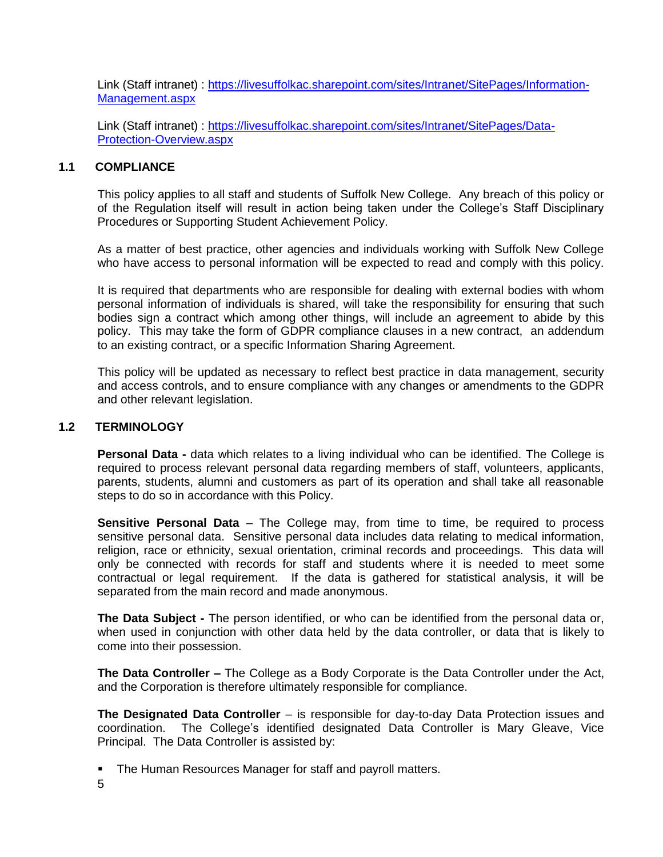Link (Staff intranet) : [https://livesuffolkac.sharepoint.com/sites/Intranet/SitePages/Information-](https://livesuffolkac.sharepoint.com/sites/Intranet/SitePages/Information-Management.aspx)[Management.aspx](https://livesuffolkac.sharepoint.com/sites/Intranet/SitePages/Information-Management.aspx)

Link (Staff intranet) : [https://livesuffolkac.sharepoint.com/sites/Intranet/SitePages/Data-](https://livesuffolkac.sharepoint.com/sites/Intranet/SitePages/Data-Protection-Overview.aspx)[Protection-Overview.aspx](https://livesuffolkac.sharepoint.com/sites/Intranet/SitePages/Data-Protection-Overview.aspx)

#### **1.1 COMPLIANCE**

This policy applies to all staff and students of Suffolk New College. Any breach of this policy or of the Regulation itself will result in action being taken under the College's Staff Disciplinary Procedures or Supporting Student Achievement Policy.

As a matter of best practice, other agencies and individuals working with Suffolk New College who have access to personal information will be expected to read and comply with this policy.

It is required that departments who are responsible for dealing with external bodies with whom personal information of individuals is shared, will take the responsibility for ensuring that such bodies sign a contract which among other things, will include an agreement to abide by this policy. This may take the form of GDPR compliance clauses in a new contract, an addendum to an existing contract, or a specific Information Sharing Agreement.

This policy will be updated as necessary to reflect best practice in data management, security and access controls, and to ensure compliance with any changes or amendments to the GDPR and other relevant legislation.

#### **1.2 TERMINOLOGY**

**Personal Data -** data which relates to a living individual who can be identified. The College is required to process relevant personal data regarding members of staff, volunteers, applicants, parents, students, alumni and customers as part of its operation and shall take all reasonable steps to do so in accordance with this Policy.

**Sensitive Personal Data** – The College may, from time to time, be required to process sensitive personal data. Sensitive personal data includes data relating to medical information, religion, race or ethnicity, sexual orientation, criminal records and proceedings. This data will only be connected with records for staff and students where it is needed to meet some contractual or legal requirement. If the data is gathered for statistical analysis, it will be separated from the main record and made anonymous.

**The Data Subject -** The person identified, or who can be identified from the personal data or, when used in conjunction with other data held by the data controller, or data that is likely to come into their possession.

**The Data Controller –** The College as a Body Corporate is the Data Controller under the Act, and the Corporation is therefore ultimately responsible for compliance.

**The Designated Data Controller** – is responsible for day-to-day Data Protection issues and coordination. The College's identified designated Data Controller is Mary Gleave, Vice Principal. The Data Controller is assisted by:

The Human Resources Manager for staff and payroll matters.

5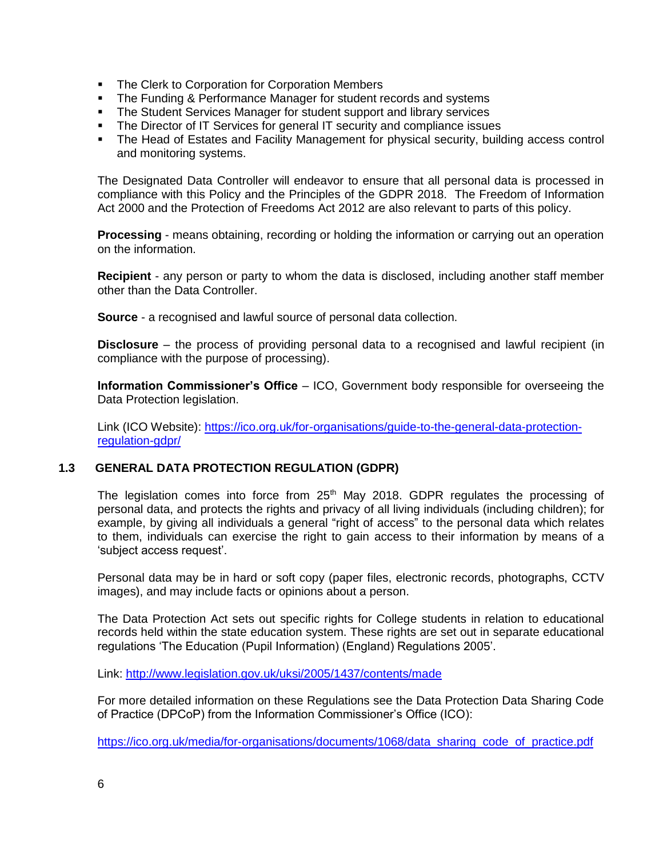- **The Clerk to Corporation for Corporation Members**
- The Funding & Performance Manager for student records and systems
- The Student Services Manager for student support and library services
- The Director of IT Services for general IT security and compliance issues
- The Head of Estates and Facility Management for physical security, building access control and monitoring systems.

The Designated Data Controller will endeavor to ensure that all personal data is processed in compliance with this Policy and the Principles of the GDPR 2018. The Freedom of Information Act 2000 and the Protection of Freedoms Act 2012 are also relevant to parts of this policy.

**Processing** - means obtaining, recording or holding the information or carrying out an operation on the information.

**Recipient** - any person or party to whom the data is disclosed, including another staff member other than the Data Controller.

**Source** - a recognised and lawful source of personal data collection.

**Disclosure** – the process of providing personal data to a recognised and lawful recipient (in compliance with the purpose of processing).

**Information Commissioner's Office** – ICO, Government body responsible for overseeing the Data Protection legislation.

Link (ICO Website): [https://ico.org.uk/for-organisations/guide-to-the-general-data-protection](https://ico.org.uk/for-organisations/guide-to-the-general-data-protection-regulation-gdpr/)[regulation-gdpr/](https://ico.org.uk/for-organisations/guide-to-the-general-data-protection-regulation-gdpr/)

#### **1.3 GENERAL DATA PROTECTION REGULATION (GDPR)**

The legislation comes into force from  $25<sup>th</sup>$  May 2018. GDPR regulates the processing of personal data, and protects the rights and privacy of all living individuals (including children); for example, by giving all individuals a general "right of access" to the personal data which relates to them, individuals can exercise the right to gain access to their information by means of a 'subject access request'.

Personal data may be in hard or soft copy (paper files, electronic records, photographs, CCTV images), and may include facts or opinions about a person.

The Data Protection Act sets out specific rights for College students in relation to educational records held within the state education system. These rights are set out in separate educational regulations 'The Education (Pupil Information) (England) Regulations 2005'.

Link:<http://www.legislation.gov.uk/uksi/2005/1437/contents/made>

For more detailed information on these Regulations see the Data Protection Data Sharing Code of Practice (DPCoP) from the Information Commissioner's Office (ICO):

[https://ico.org.uk/media/for-organisations/documents/1068/data\\_sharing\\_code\\_of\\_practice.pdf](https://ico.org.uk/media/for-organisations/documents/1068/data_sharing_code_of_practice.pdf)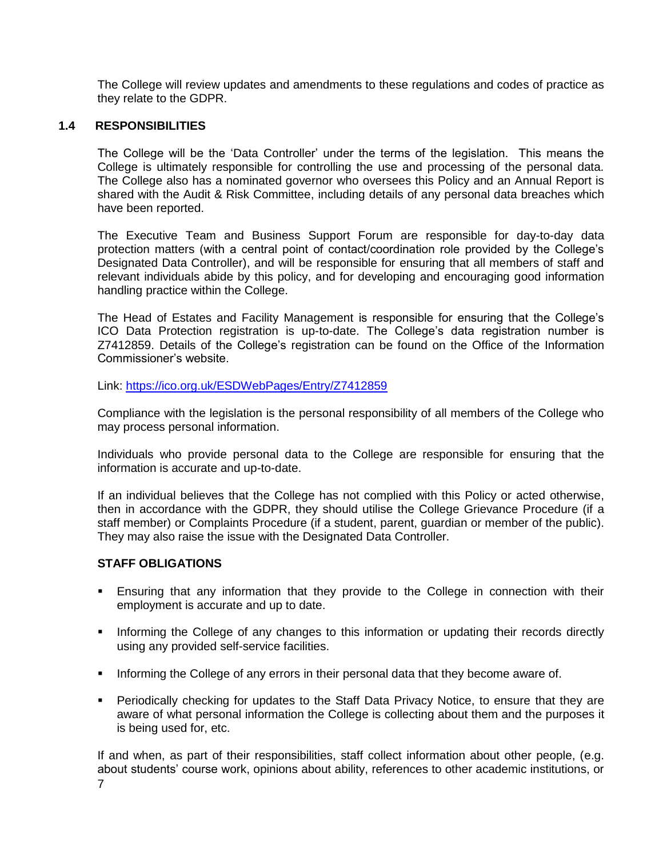The College will review updates and amendments to these regulations and codes of practice as they relate to the GDPR.

#### **1.4 RESPONSIBILITIES**

The College will be the 'Data Controller' under the terms of the legislation. This means the College is ultimately responsible for controlling the use and processing of the personal data. The College also has a nominated governor who oversees this Policy and an Annual Report is shared with the Audit & Risk Committee, including details of any personal data breaches which have been reported.

The Executive Team and Business Support Forum are responsible for day-to-day data protection matters (with a central point of contact/coordination role provided by the College's Designated Data Controller), and will be responsible for ensuring that all members of staff and relevant individuals abide by this policy, and for developing and encouraging good information handling practice within the College.

The Head of Estates and Facility Management is responsible for ensuring that the College's ICO Data Protection registration is up-to-date. The College's data registration number is Z7412859. Details of the College's registration can be found on the Office of the Information Commissioner's website.

Link:<https://ico.org.uk/ESDWebPages/Entry/Z7412859>

Compliance with the legislation is the personal responsibility of all members of the College who may process personal information.

Individuals who provide personal data to the College are responsible for ensuring that the information is accurate and up-to-date.

If an individual believes that the College has not complied with this Policy or acted otherwise, then in accordance with the GDPR, they should utilise the College Grievance Procedure (if a staff member) or Complaints Procedure (if a student, parent, guardian or member of the public). They may also raise the issue with the Designated Data Controller.

#### **STAFF OBLIGATIONS**

- Ensuring that any information that they provide to the College in connection with their employment is accurate and up to date.
- **Informing the College of any changes to this information or updating their records directly** using any provided self-service facilities.
- **Informing the College of any errors in their personal data that they become aware of.**
- Periodically checking for updates to the Staff Data Privacy Notice, to ensure that they are aware of what personal information the College is collecting about them and the purposes it is being used for, etc.

7 If and when, as part of their responsibilities, staff collect information about other people, (e.g. about students' course work, opinions about ability, references to other academic institutions, or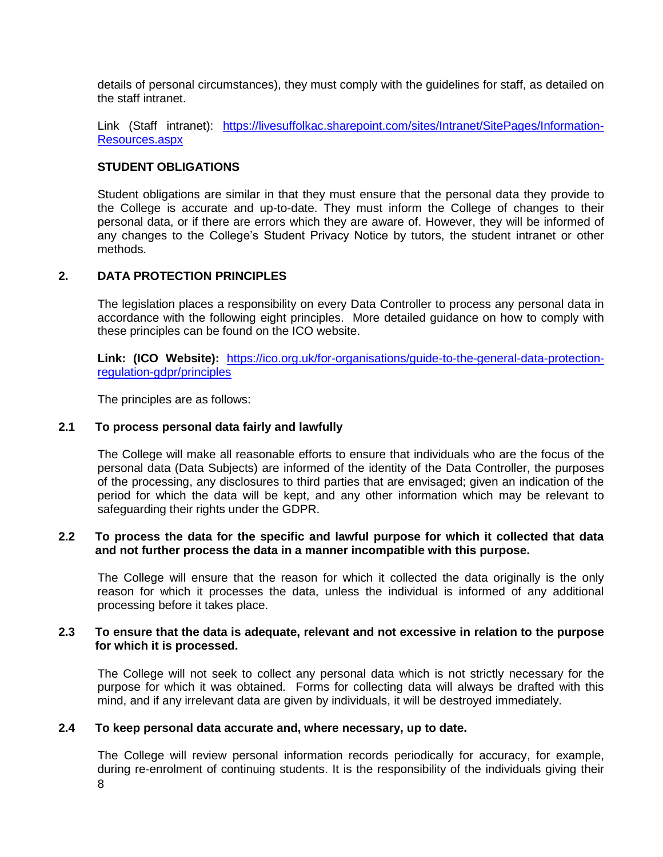details of personal circumstances), they must comply with the guidelines for staff, as detailed on the staff intranet.

Link (Staff intranet): [https://livesuffolkac.sharepoint.com/sites/Intranet/SitePages/Information-](https://livesuffolkac.sharepoint.com/sites/Intranet/SitePages/Information-Resources.aspx)[Resources.aspx](https://livesuffolkac.sharepoint.com/sites/Intranet/SitePages/Information-Resources.aspx)

#### **STUDENT OBLIGATIONS**

Student obligations are similar in that they must ensure that the personal data they provide to the College is accurate and up-to-date. They must inform the College of changes to their personal data, or if there are errors which they are aware of. However, they will be informed of any changes to the College's Student Privacy Notice by tutors, the student intranet or other methods.

#### <span id="page-7-0"></span>**2. DATA PROTECTION PRINCIPLES**

The legislation places a responsibility on every Data Controller to process any personal data in accordance with the following eight principles. More detailed guidance on how to comply with these principles can be found on the ICO website.

**Link: (ICO Website):** [https://ico.org.uk/for-organisations/guide-to-the-general-data-protection](https://ico.org.uk/for-organisations/guide-to-the-general-data-protection-regulation-gdpr/principles)[regulation-gdpr/principles](https://ico.org.uk/for-organisations/guide-to-the-general-data-protection-regulation-gdpr/principles)

The principles are as follows:

#### **2.1 To process personal data fairly and lawfully**

The College will make all reasonable efforts to ensure that individuals who are the focus of the personal data (Data Subjects) are informed of the identity of the Data Controller, the purposes of the processing, any disclosures to third parties that are envisaged; given an indication of the period for which the data will be kept, and any other information which may be relevant to safeguarding their rights under the GDPR.

#### **2.2 To process the data for the specific and lawful purpose for which it collected that data and not further process the data in a manner incompatible with this purpose.**

The College will ensure that the reason for which it collected the data originally is the only reason for which it processes the data, unless the individual is informed of any additional processing before it takes place.

#### **2.3 To ensure that the data is adequate, relevant and not excessive in relation to the purpose for which it is processed.**

The College will not seek to collect any personal data which is not strictly necessary for the purpose for which it was obtained. Forms for collecting data will always be drafted with this mind, and if any irrelevant data are given by individuals, it will be destroyed immediately.

#### **2.4 To keep personal data accurate and, where necessary, up to date.**

8 The College will review personal information records periodically for accuracy, for example, during re-enrolment of continuing students. It is the responsibility of the individuals giving their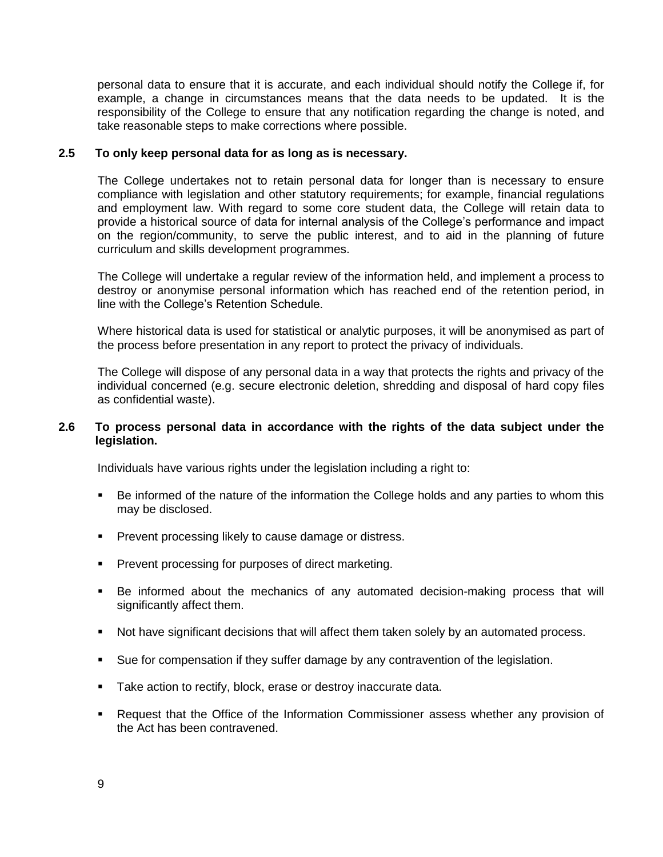personal data to ensure that it is accurate, and each individual should notify the College if, for example, a change in circumstances means that the data needs to be updated. It is the responsibility of the College to ensure that any notification regarding the change is noted, and take reasonable steps to make corrections where possible.

#### **2.5 To only keep personal data for as long as is necessary.**

The College undertakes not to retain personal data for longer than is necessary to ensure compliance with legislation and other statutory requirements; for example, financial regulations and employment law. With regard to some core student data, the College will retain data to provide a historical source of data for internal analysis of the College's performance and impact on the region/community, to serve the public interest, and to aid in the planning of future curriculum and skills development programmes.

The College will undertake a regular review of the information held, and implement a process to destroy or anonymise personal information which has reached end of the retention period, in line with the College's Retention Schedule.

Where historical data is used for statistical or analytic purposes, it will be anonymised as part of the process before presentation in any report to protect the privacy of individuals.

The College will dispose of any personal data in a way that protects the rights and privacy of the individual concerned (e.g. secure electronic deletion, shredding and disposal of hard copy files as confidential waste).

#### **2.6 To process personal data in accordance with the rights of the data subject under the legislation.**

Individuals have various rights under the legislation including a right to:

- Be informed of the nature of the information the College holds and any parties to whom this may be disclosed.
- **Prevent processing likely to cause damage or distress.**
- **Prevent processing for purposes of direct marketing.**
- Be informed about the mechanics of any automated decision-making process that will significantly affect them.
- Not have significant decisions that will affect them taken solely by an automated process.
- Sue for compensation if they suffer damage by any contravention of the legislation.
- **Take action to rectify, block, erase or destroy inaccurate data.**
- Request that the Office of the Information Commissioner assess whether any provision of the Act has been contravened.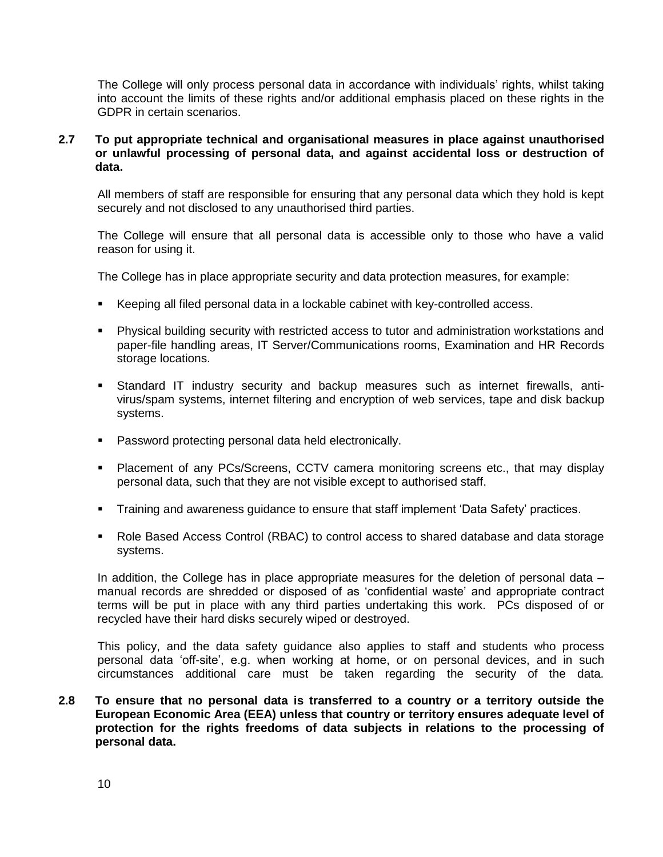The College will only process personal data in accordance with individuals' rights, whilst taking into account the limits of these rights and/or additional emphasis placed on these rights in the GDPR in certain scenarios.

#### **2.7 To put appropriate technical and organisational measures in place against unauthorised or unlawful processing of personal data, and against accidental loss or destruction of data.**

All members of staff are responsible for ensuring that any personal data which they hold is kept securely and not disclosed to any unauthorised third parties.

The College will ensure that all personal data is accessible only to those who have a valid reason for using it.

The College has in place appropriate security and data protection measures, for example:

- Keeping all filed personal data in a lockable cabinet with key-controlled access.
- Physical building security with restricted access to tutor and administration workstations and paper-file handling areas, IT Server/Communications rooms, Examination and HR Records storage locations.
- Standard IT industry security and backup measures such as internet firewalls, antivirus/spam systems, internet filtering and encryption of web services, tape and disk backup systems.
- **Password protecting personal data held electronically.**
- Placement of any PCs/Screens, CCTV camera monitoring screens etc., that may display personal data, such that they are not visible except to authorised staff.
- **Training and awareness guidance to ensure that staff implement 'Data Safety' practices.**
- Role Based Access Control (RBAC) to control access to shared database and data storage systems.

In addition, the College has in place appropriate measures for the deletion of personal data – manual records are shredded or disposed of as 'confidential waste' and appropriate contract terms will be put in place with any third parties undertaking this work. PCs disposed of or recycled have their hard disks securely wiped or destroyed.

This policy, and the data safety guidance also applies to staff and students who process personal data 'off-site', e.g. when working at home, or on personal devices, and in such circumstances additional care must be taken regarding the security of the data.

**2.8 To ensure that no personal data is transferred to a country or a territory outside the European Economic Area (EEA) unless that country or territory ensures adequate level of protection for the rights freedoms of data subjects in relations to the processing of personal data.**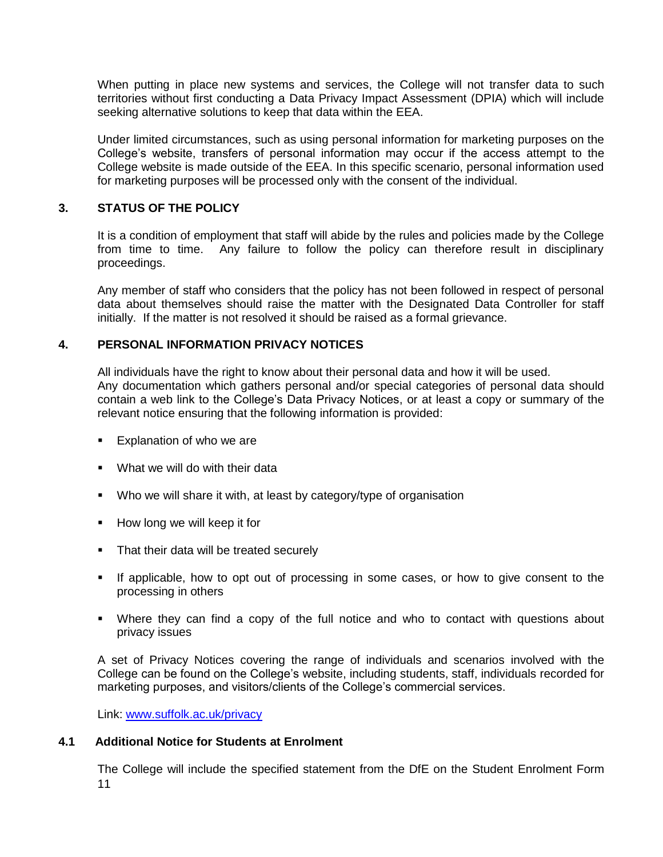When putting in place new systems and services, the College will not transfer data to such territories without first conducting a Data Privacy Impact Assessment (DPIA) which will include seeking alternative solutions to keep that data within the EEA.

Under limited circumstances, such as using personal information for marketing purposes on the College's website, transfers of personal information may occur if the access attempt to the College website is made outside of the EEA. In this specific scenario, personal information used for marketing purposes will be processed only with the consent of the individual.

#### <span id="page-10-0"></span>**3. STATUS OF THE POLICY**

It is a condition of employment that staff will abide by the rules and policies made by the College from time to time. Any failure to follow the policy can therefore result in disciplinary proceedings.

Any member of staff who considers that the policy has not been followed in respect of personal data about themselves should raise the matter with the Designated Data Controller for staff initially. If the matter is not resolved it should be raised as a formal grievance.

#### <span id="page-10-1"></span>**4. PERSONAL INFORMATION PRIVACY NOTICES**

All individuals have the right to know about their personal data and how it will be used. Any documentation which gathers personal and/or special categories of personal data should contain a web link to the College's Data Privacy Notices, or at least a copy or summary of the relevant notice ensuring that the following information is provided:

- **Explanation of who we are**
- **What we will do with their data**
- Who we will share it with, at least by category/type of organisation
- $\blacksquare$  How long we will keep it for
- That their data will be treated securely
- If applicable, how to opt out of processing in some cases, or how to give consent to the processing in others
- Where they can find a copy of the full notice and who to contact with questions about privacy issues

A set of Privacy Notices covering the range of individuals and scenarios involved with the College can be found on the College's website, including students, staff, individuals recorded for marketing purposes, and visitors/clients of the College's commercial services.

Link: [www.suffolk.ac.uk/privacy](http://www.suffolk.ac.uk/privacy)

#### **4.1 Additional Notice for Students at Enrolment**

11 The College will include the specified statement from the DfE on the Student Enrolment Form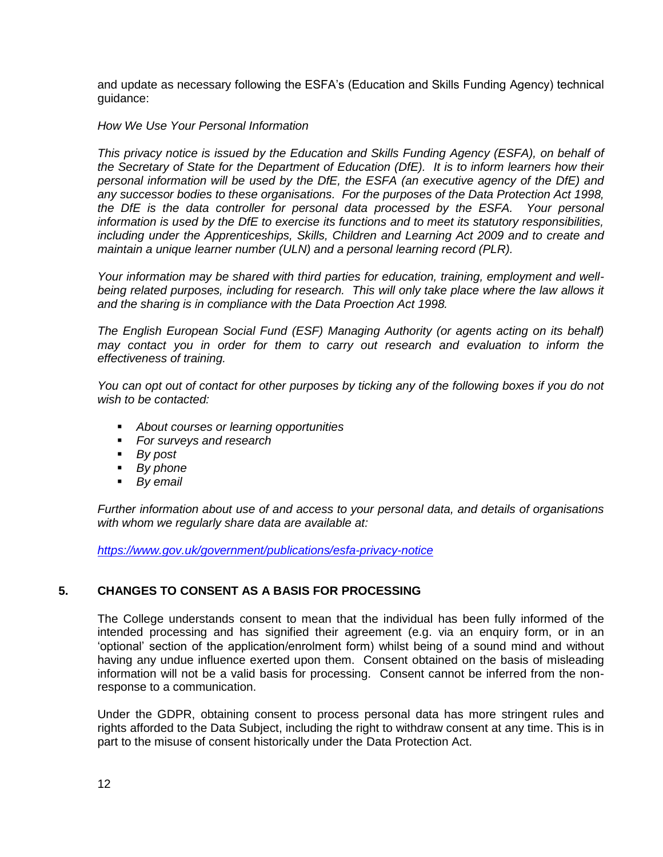and update as necessary following the ESFA's (Education and Skills Funding Agency) technical guidance:

#### *How We Use Your Personal Information*

*This privacy notice is issued by the Education and Skills Funding Agency (ESFA), on behalf of the Secretary of State for the Department of Education (DfE). It is to inform learners how their personal information will be used by the DfE, the ESFA (an executive agency of the DfE) and any successor bodies to these organisations. For the purposes of the Data Protection Act 1998, the DfE is the data controller for personal data processed by the ESFA. Your personal information is used by the DfE to exercise its functions and to meet its statutory responsibilities, including under the Apprenticeships, Skills, Children and Learning Act 2009 and to create and maintain a unique learner number (ULN) and a personal learning record (PLR).* 

*Your information may be shared with third parties for education, training, employment and well*being related purposes, including for research. This will only take place where the law allows it *and the sharing is in compliance with the Data Proection Act 1998.*

*The English European Social Fund (ESF) Managing Authority (or agents acting on its behalf) may contact you in order for them to carry out research and evaluation to inform the effectiveness of training.*

You can opt out of contact for other purposes by ticking any of the following boxes if you do not *wish to be contacted:*

- *About courses or learning opportunities*
- *For surveys and research*
- *By post*
- *By phone*
- *By email*

*Further information about use of and access to your personal data, and details of organisations with whom we regularly share data are available at:*

*<https://www.gov.uk/government/publications/esfa-privacy-notice>*

#### <span id="page-11-0"></span>**5. CHANGES TO CONSENT AS A BASIS FOR PROCESSING**

The College understands consent to mean that the individual has been fully informed of the intended processing and has signified their agreement (e.g. via an enquiry form, or in an 'optional' section of the application/enrolment form) whilst being of a sound mind and without having any undue influence exerted upon them. Consent obtained on the basis of misleading information will not be a valid basis for processing. Consent cannot be inferred from the nonresponse to a communication.

Under the GDPR, obtaining consent to process personal data has more stringent rules and rights afforded to the Data Subject, including the right to withdraw consent at any time. This is in part to the misuse of consent historically under the Data Protection Act.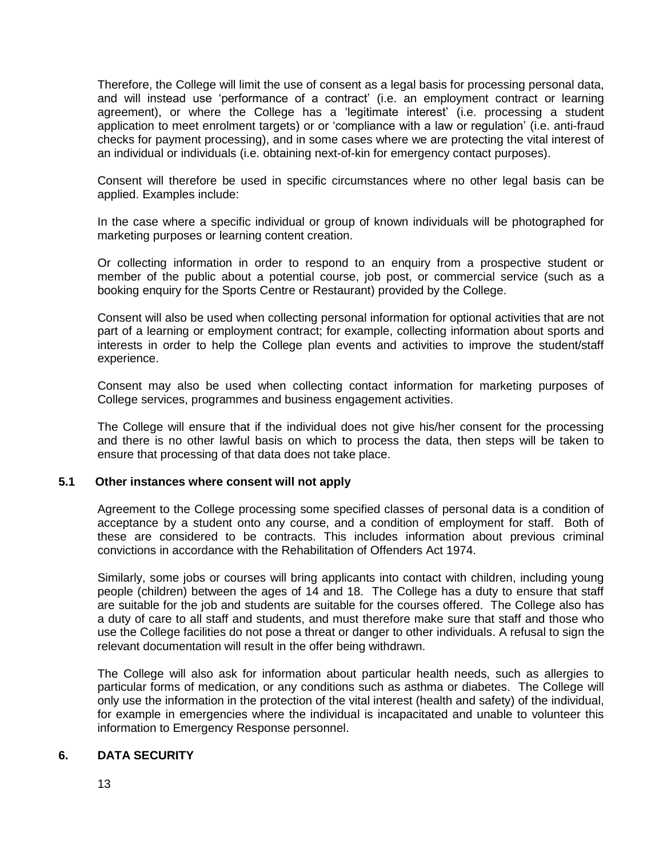Therefore, the College will limit the use of consent as a legal basis for processing personal data, and will instead use 'performance of a contract' (i.e. an employment contract or learning agreement), or where the College has a 'legitimate interest' (i.e. processing a student application to meet enrolment targets) or or 'compliance with a law or regulation' (i.e. anti-fraud checks for payment processing), and in some cases where we are protecting the vital interest of an individual or individuals (i.e. obtaining next-of-kin for emergency contact purposes).

Consent will therefore be used in specific circumstances where no other legal basis can be applied. Examples include:

In the case where a specific individual or group of known individuals will be photographed for marketing purposes or learning content creation.

Or collecting information in order to respond to an enquiry from a prospective student or member of the public about a potential course, job post, or commercial service (such as a booking enquiry for the Sports Centre or Restaurant) provided by the College.

Consent will also be used when collecting personal information for optional activities that are not part of a learning or employment contract; for example, collecting information about sports and interests in order to help the College plan events and activities to improve the student/staff experience.

Consent may also be used when collecting contact information for marketing purposes of College services, programmes and business engagement activities.

The College will ensure that if the individual does not give his/her consent for the processing and there is no other lawful basis on which to process the data, then steps will be taken to ensure that processing of that data does not take place.

#### **5.1 Other instances where consent will not apply**

Agreement to the College processing some specified classes of personal data is a condition of acceptance by a student onto any course, and a condition of employment for staff. Both of these are considered to be contracts. This includes information about previous criminal convictions in accordance with the Rehabilitation of Offenders Act 1974.

Similarly, some jobs or courses will bring applicants into contact with children, including young people (children) between the ages of 14 and 18. The College has a duty to ensure that staff are suitable for the job and students are suitable for the courses offered. The College also has a duty of care to all staff and students, and must therefore make sure that staff and those who use the College facilities do not pose a threat or danger to other individuals. A refusal to sign the relevant documentation will result in the offer being withdrawn.

The College will also ask for information about particular health needs, such as allergies to particular forms of medication, or any conditions such as asthma or diabetes. The College will only use the information in the protection of the vital interest (health and safety) of the individual, for example in emergencies where the individual is incapacitated and unable to volunteer this information to Emergency Response personnel.

#### <span id="page-12-0"></span>**6. DATA SECURITY**

13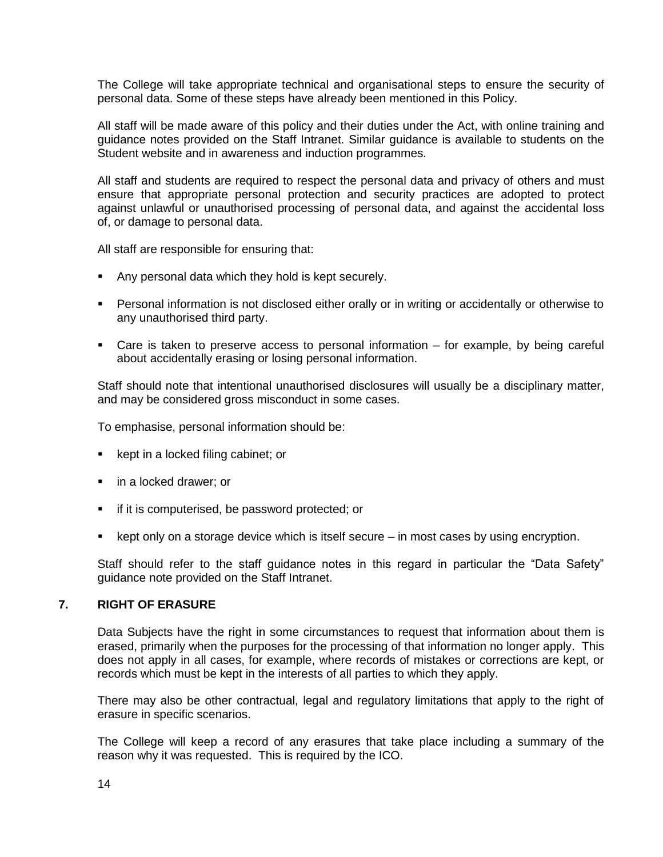The College will take appropriate technical and organisational steps to ensure the security of personal data. Some of these steps have already been mentioned in this Policy.

All staff will be made aware of this policy and their duties under the Act, with online training and guidance notes provided on the Staff Intranet. Similar guidance is available to students on the Student website and in awareness and induction programmes.

All staff and students are required to respect the personal data and privacy of others and must ensure that appropriate personal protection and security practices are adopted to protect against unlawful or unauthorised processing of personal data, and against the accidental loss of, or damage to personal data.

All staff are responsible for ensuring that:

- Any personal data which they hold is kept securely.
- Personal information is not disclosed either orally or in writing or accidentally or otherwise to any unauthorised third party.
- Care is taken to preserve access to personal information for example, by being careful about accidentally erasing or losing personal information.

Staff should note that intentional unauthorised disclosures will usually be a disciplinary matter, and may be considered gross misconduct in some cases.

To emphasise, personal information should be:

- $\blacksquare$  kept in a locked filing cabinet; or
- in a locked drawer; or
- **F** if it is computerised, be password protected; or
- $\bullet$  kept only on a storage device which is itself secure in most cases by using encryption.

Staff should refer to the staff guidance notes in this regard in particular the "Data Safety" guidance note provided on the Staff Intranet.

#### <span id="page-13-0"></span>**7. RIGHT OF ERASURE**

Data Subjects have the right in some circumstances to request that information about them is erased, primarily when the purposes for the processing of that information no longer apply. This does not apply in all cases, for example, where records of mistakes or corrections are kept, or records which must be kept in the interests of all parties to which they apply.

There may also be other contractual, legal and regulatory limitations that apply to the right of erasure in specific scenarios.

The College will keep a record of any erasures that take place including a summary of the reason why it was requested. This is required by the ICO.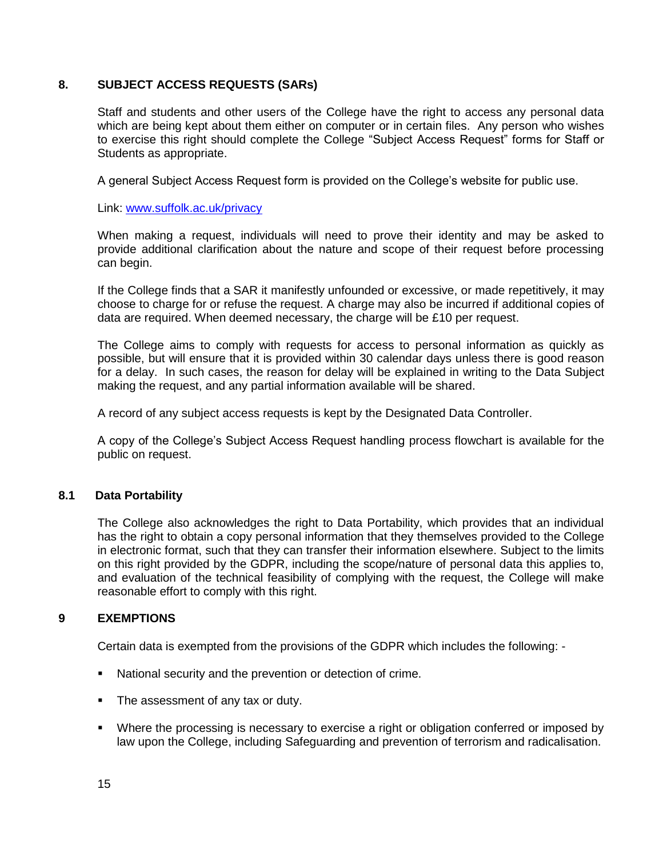#### <span id="page-14-0"></span>**8. SUBJECT ACCESS REQUESTS (SARs)**

Staff and students and other users of the College have the right to access any personal data which are being kept about them either on computer or in certain files. Any person who wishes to exercise this right should complete the College "Subject Access Request" forms for Staff or Students as appropriate.

A general Subject Access Request form is provided on the College's website for public use.

Link: [www.suffolk.ac.uk/privacy](http://www.suffolk.ac.uk/privacy)

When making a request, individuals will need to prove their identity and may be asked to provide additional clarification about the nature and scope of their request before processing can begin.

If the College finds that a SAR it manifestly unfounded or excessive, or made repetitively, it may choose to charge for or refuse the request. A charge may also be incurred if additional copies of data are required. When deemed necessary, the charge will be £10 per request.

The College aims to comply with requests for access to personal information as quickly as possible, but will ensure that it is provided within 30 calendar days unless there is good reason for a delay. In such cases, the reason for delay will be explained in writing to the Data Subject making the request, and any partial information available will be shared.

A record of any subject access requests is kept by the Designated Data Controller.

A copy of the College's Subject Access Request handling process flowchart is available for the public on request.

#### **8.1 Data Portability**

The College also acknowledges the right to Data Portability, which provides that an individual has the right to obtain a copy personal information that they themselves provided to the College in electronic format, such that they can transfer their information elsewhere. Subject to the limits on this right provided by the GDPR, including the scope/nature of personal data this applies to, and evaluation of the technical feasibility of complying with the request, the College will make reasonable effort to comply with this right.

#### <span id="page-14-1"></span>**9 EXEMPTIONS**

Certain data is exempted from the provisions of the GDPR which includes the following: -

- National security and the prevention or detection of crime.
- The assessment of any tax or duty.
- Where the processing is necessary to exercise a right or obligation conferred or imposed by law upon the College, including Safeguarding and prevention of terrorism and radicalisation.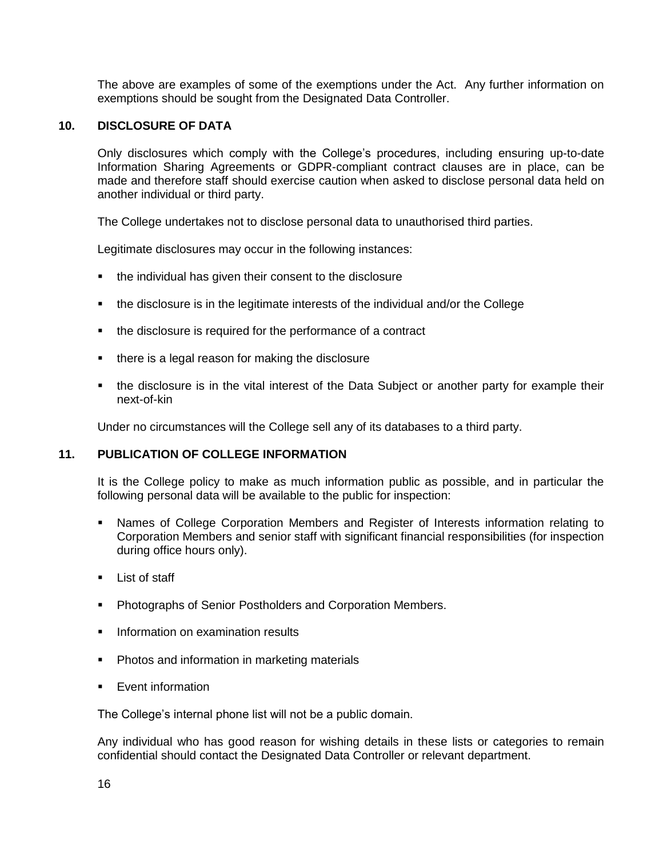The above are examples of some of the exemptions under the Act. Any further information on exemptions should be sought from the Designated Data Controller.

#### <span id="page-15-0"></span>**10. DISCLOSURE OF DATA**

Only disclosures which comply with the College's procedures, including ensuring up-to-date Information Sharing Agreements or GDPR-compliant contract clauses are in place, can be made and therefore staff should exercise caution when asked to disclose personal data held on another individual or third party.

The College undertakes not to disclose personal data to unauthorised third parties.

Legitimate disclosures may occur in the following instances:

- the individual has given their consent to the disclosure
- the disclosure is in the legitimate interests of the individual and/or the College
- the disclosure is required for the performance of a contract
- there is a legal reason for making the disclosure
- the disclosure is in the vital interest of the Data Subject or another party for example their next-of-kin

Under no circumstances will the College sell any of its databases to a third party.

#### <span id="page-15-1"></span>**11. PUBLICATION OF COLLEGE INFORMATION**

It is the College policy to make as much information public as possible, and in particular the following personal data will be available to the public for inspection:

- Names of College Corporation Members and Register of Interests information relating to Corporation Members and senior staff with significant financial responsibilities (for inspection during office hours only).
- **List of staff**
- **Photographs of Senior Postholders and Corporation Members.**
- **Information on examination results**
- **Photos and information in marketing materials**
- **Event information**

The College's internal phone list will not be a public domain.

Any individual who has good reason for wishing details in these lists or categories to remain confidential should contact the Designated Data Controller or relevant department.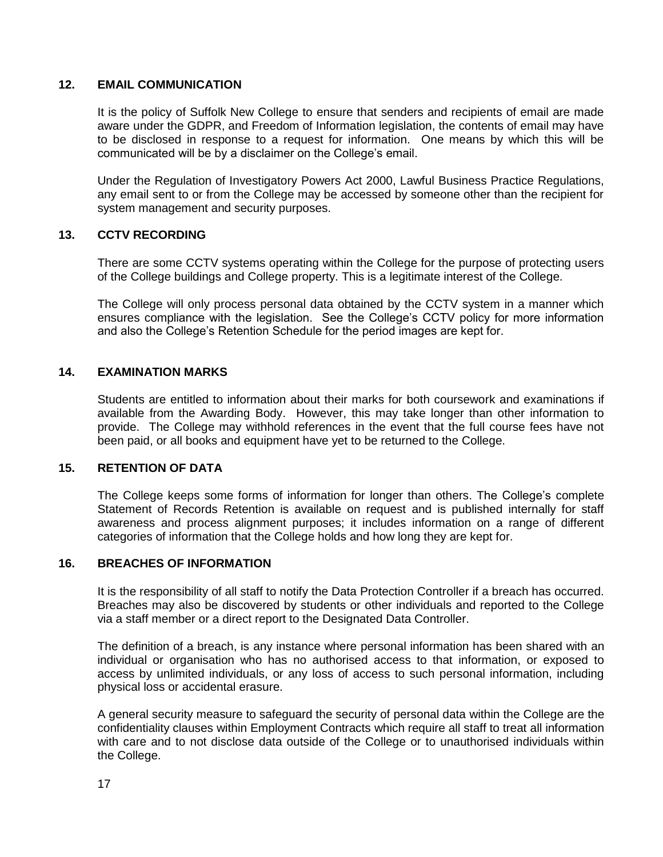#### <span id="page-16-0"></span>**12. EMAIL COMMUNICATION**

It is the policy of Suffolk New College to ensure that senders and recipients of email are made aware under the GDPR, and Freedom of Information legislation, the contents of email may have to be disclosed in response to a request for information. One means by which this will be communicated will be by a disclaimer on the College's email.

Under the Regulation of Investigatory Powers Act 2000, Lawful Business Practice Regulations, any email sent to or from the College may be accessed by someone other than the recipient for system management and security purposes.

#### <span id="page-16-1"></span>**13. CCTV RECORDING**

There are some CCTV systems operating within the College for the purpose of protecting users of the College buildings and College property. This is a legitimate interest of the College.

The College will only process personal data obtained by the CCTV system in a manner which ensures compliance with the legislation. See the College's CCTV policy for more information and also the College's Retention Schedule for the period images are kept for.

#### <span id="page-16-2"></span>**14. EXAMINATION MARKS**

Students are entitled to information about their marks for both coursework and examinations if available from the Awarding Body. However, this may take longer than other information to provide. The College may withhold references in the event that the full course fees have not been paid, or all books and equipment have yet to be returned to the College.

#### <span id="page-16-3"></span>**15. RETENTION OF DATA**

The College keeps some forms of information for longer than others. The College's complete Statement of Records Retention is available on request and is published internally for staff awareness and process alignment purposes; it includes information on a range of different categories of information that the College holds and how long they are kept for.

#### <span id="page-16-4"></span>**16. BREACHES OF INFORMATION**

It is the responsibility of all staff to notify the Data Protection Controller if a breach has occurred. Breaches may also be discovered by students or other individuals and reported to the College via a staff member or a direct report to the Designated Data Controller.

The definition of a breach, is any instance where personal information has been shared with an individual or organisation who has no authorised access to that information, or exposed to access by unlimited individuals, or any loss of access to such personal information, including physical loss or accidental erasure.

A general security measure to safeguard the security of personal data within the College are the confidentiality clauses within Employment Contracts which require all staff to treat all information with care and to not disclose data outside of the College or to unauthorised individuals within the College.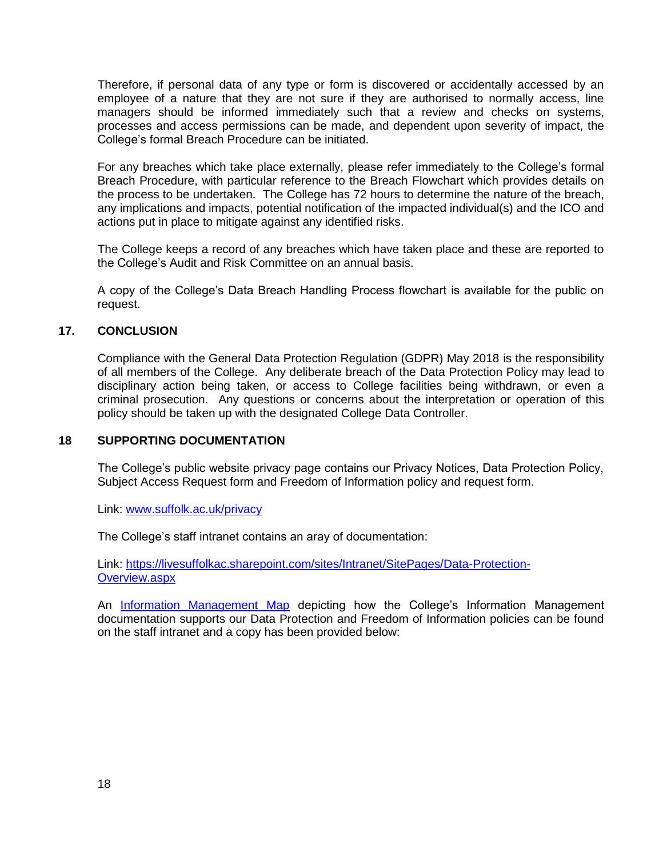Therefore, if personal data of any type or form is discovered or accidentally accessed by an employee of a nature that they are not sure if they are authorised to normally access, line managers should be informed immediately such that a review and checks on systems, processes and access permissions can be made, and dependent upon severity of impact, the College's formal Breach Procedure can be initiated.

For any breaches which take place externally, please refer immediately to the College's formal Breach Procedure, with particular reference to the Breach Flowchart which provides details on the process to be undertaken. The College has 72 hours to determine the nature of the breach, any implications and impacts, potential notification of the impacted individual(s) and the ICO and actions put in place to mitigate against any identified risks.

The College keeps a record of any breaches which have taken place and these are reported to the College's Audit and Risk Committee on an annual basis.

A copy of the College's Data Breach Handling Process flowchart is available for the public on request.

#### <span id="page-17-0"></span>**17. CONCLUSION**

Compliance with the General Data Protection Regulation (GDPR) May 2018 is the responsibility of all members of the College. Any deliberate breach of the Data Protection Policy may lead to disciplinary action being taken, or access to College facilities being withdrawn, or even a criminal prosecution. Any questions or concerns about the interpretation or operation of this policy should be taken up with the designated College Data Controller.

#### <span id="page-17-1"></span>**18 SUPPORTING DOCUMENTATION**

The College's public website privacy page contains our Privacy Notices, Data Protection Policy, Subject Access Request form and Freedom of Information policy and request form.

Link: [www.suffolk.ac.uk/privacy](http://www.suffolk.ac.uk/privacy)

The College's staff intranet contains an aray of documentation:

Link: [https://livesuffolkac.sharepoint.com/sites/Intranet/SitePages/Data-Protection-](https://livesuffolkac.sharepoint.com/sites/Intranet/SitePages/Data-Protection-Overview.aspx)[Overview.aspx](https://livesuffolkac.sharepoint.com/sites/Intranet/SitePages/Data-Protection-Overview.aspx)

An [Information Management Map](https://livesuffolkac.sharepoint.com/:b:/s/Intranet/EVoHqt1PupJMr5fwMjaR3zUB56Hb71Gi4X7MNP92-rHApQ?e=gqBCHE) depicting how the College's Information Management documentation supports our Data Protection and Freedom of Information policies can be found on the staff intranet and a copy has been provided below: